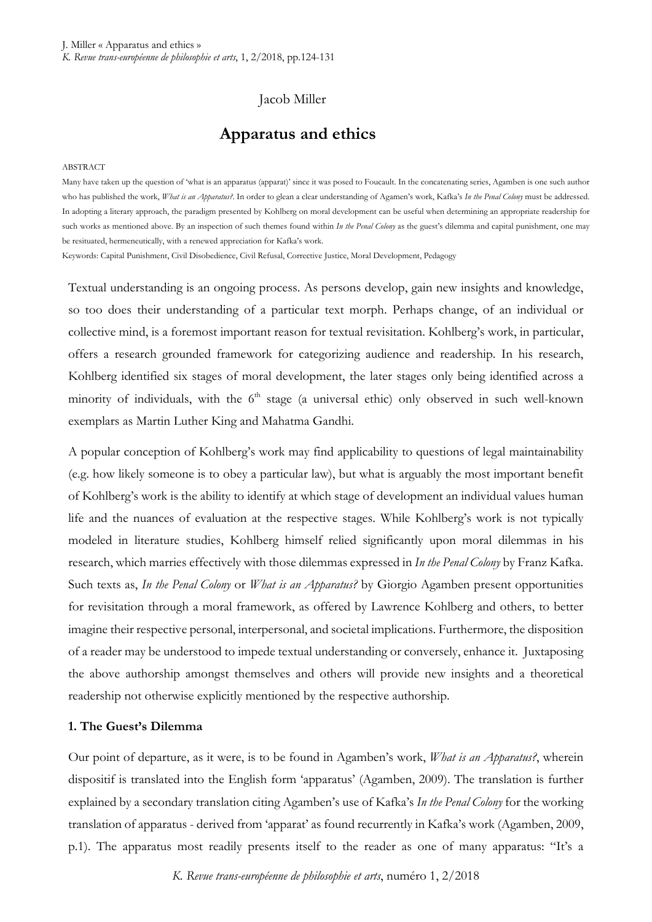# Jacob Miller

# **Apparatus and ethics**

#### ABSTRACT

Many have taken up the question of 'what is an apparatus (apparat)' since it was posed to Foucault. In the concatenating series, Agamben is one such author who has published the work, *What is an Apparatus?*. In order to glean a clear understanding of Agamen's work, Kafka's *In the Penal Colony* must be addressed. In adopting a literary approach, the paradigm presented by Kohlberg on moral development can be useful when determining an appropriate readership for such works as mentioned above. By an inspection of such themes found within *In the Penal Colony* as the guest's dilemma and capital punishment, one may be resituated, hermeneutically, with a renewed appreciation for Kafka's work.

Keywords: Capital Punishment, Civil Disobedience, Civil Refusal, Corrective Justice, Moral Development, Pedagogy

Textual understanding is an ongoing process. As persons develop, gain new insights and knowledge, so too does their understanding of a particular text morph. Perhaps change, of an individual or collective mind, is a foremost important reason for textual revisitation. Kohlberg's work, in particular, offers a research grounded framework for categorizing audience and readership. In his research, Kohlberg identified six stages of moral development, the later stages only being identified across a minority of individuals, with the  $6<sup>th</sup>$  stage (a universal ethic) only observed in such well-known exemplars as Martin Luther King and Mahatma Gandhi.

A popular conception of Kohlberg's work may find applicability to questions of legal maintainability (e.g. how likely someone is to obey a particular law), but what is arguably the most important benefit of Kohlberg's work is the ability to identify at which stage of development an individual values human life and the nuances of evaluation at the respective stages. While Kohlberg's work is not typically modeled in literature studies, Kohlberg himself relied significantly upon moral dilemmas in his research, which marries effectively with those dilemmas expressed in *In the Penal Colony* by Franz Kafka. Such texts as, *In the Penal Colony* or *What is an Apparatus?* by Giorgio Agamben present opportunities for revisitation through a moral framework, as offered by Lawrence Kohlberg and others, to better imagine their respective personal, interpersonal, and societal implications. Furthermore, the disposition of a reader may be understood to impede textual understanding or conversely, enhance it. Juxtaposing the above authorship amongst themselves and others will provide new insights and a theoretical readership not otherwise explicitly mentioned by the respective authorship.

# **1. The Guest's Dilemma**

Our point of departure, as it were, is to be found in Agamben's work, *What is an Apparatus?*, wherein dispositif is translated into the English form 'apparatus' (Agamben, 2009). The translation is further explained by a secondary translation citing Agamben's use of Kafka's *In the Penal Colony* for the working translation of apparatus - derived from 'apparat' as found recurrently in Kafka's work (Agamben, 2009, p.1). The apparatus most readily presents itself to the reader as one of many apparatus: "It's a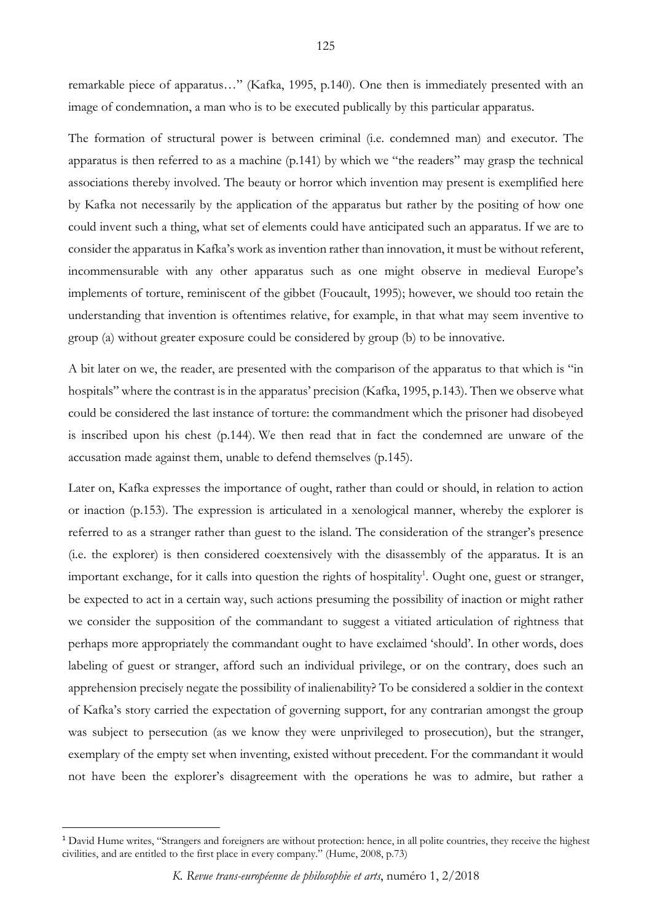remarkable piece of apparatus…" (Kafka, 1995, p.140). One then is immediately presented with an image of condemnation, a man who is to be executed publically by this particular apparatus.

The formation of structural power is between criminal (i.e. condemned man) and executor. The apparatus is then referred to as a machine (p.141) by which we "the readers" may grasp the technical associations thereby involved. The beauty or horror which invention may present is exemplified here by Kafka not necessarily by the application of the apparatus but rather by the positing of how one could invent such a thing, what set of elements could have anticipated such an apparatus. If we are to consider the apparatus in Kafka's work as invention rather than innovation, it must be without referent, incommensurable with any other apparatus such as one might observe in medieval Europe's implements of torture, reminiscent of the gibbet (Foucault, 1995); however, we should too retain the understanding that invention is oftentimes relative, for example, in that what may seem inventive to group (a) without greater exposure could be considered by group (b) to be innovative.

A bit later on we, the reader, are presented with the comparison of the apparatus to that which is "in hospitals" where the contrast is in the apparatus' precision (Kafka, 1995, p.143). Then we observe what could be considered the last instance of torture: the commandment which the prisoner had disobeyed is inscribed upon his chest (p.144). We then read that in fact the condemned are unware of the accusation made against them, unable to defend themselves (p.145).

Later on, Kafka expresses the importance of ought, rather than could or should, in relation to action or inaction (p.153). The expression is articulated in a xenological manner, whereby the explorer is referred to as a stranger rather than guest to the island. The consideration of the stranger's presence (i.e. the explorer) is then considered coextensively with the disassembly of the apparatus. It is an important exchange, for it calls into question the rights of hospitality<sup>1</sup>. Ought one, guest or stranger, be expected to act in a certain way, such actions presuming the possibility of inaction or might rather we consider the supposition of the commandant to suggest a vitiated articulation of rightness that perhaps more appropriately the commandant ought to have exclaimed 'should'. In other words, does labeling of guest or stranger, afford such an individual privilege, or on the contrary, does such an apprehension precisely negate the possibility of inalienability? To be considered a soldier in the context of Kafka's story carried the expectation of governing support, for any contrarian amongst the group was subject to persecution (as we know they were unprivileged to prosecution), but the stranger, exemplary of the empty set when inventing, existed without precedent. For the commandant it would not have been the explorer's disagreement with the operations he was to admire, but rather a

 $\overline{a}$ 

<sup>&</sup>lt;sup>1</sup> David Hume writes, "Strangers and foreigners are without protection: hence, in all polite countries, they receive the highest civilities, and are entitled to the first place in every company." (Hume, 2008, p.73)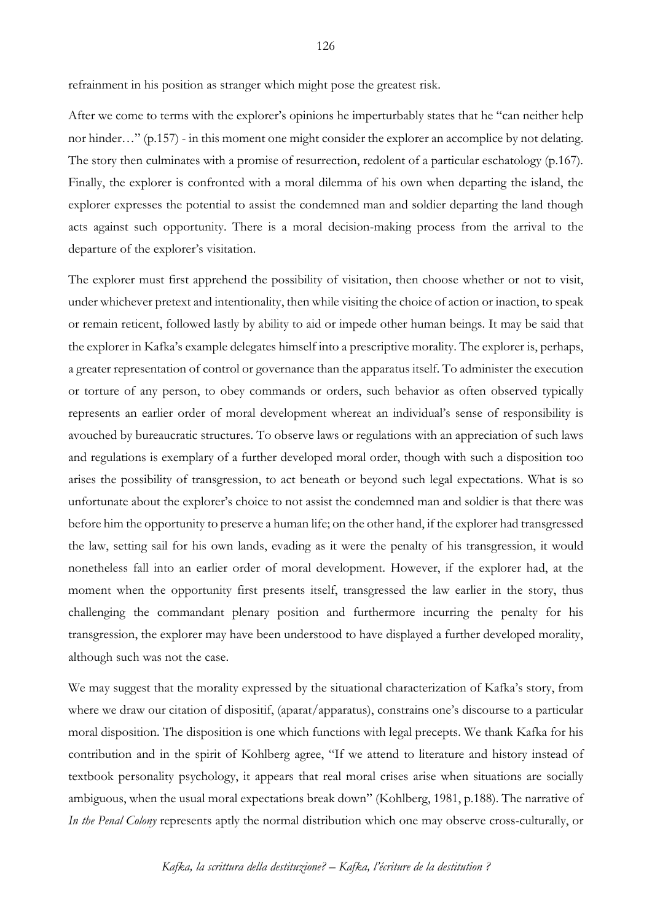refrainment in his position as stranger which might pose the greatest risk.

After we come to terms with the explorer's opinions he imperturbably states that he "can neither help nor hinder…" (p.157) - in this moment one might consider the explorer an accomplice by not delating. The story then culminates with a promise of resurrection, redolent of a particular eschatology (p.167). Finally, the explorer is confronted with a moral dilemma of his own when departing the island, the explorer expresses the potential to assist the condemned man and soldier departing the land though acts against such opportunity. There is a moral decision-making process from the arrival to the departure of the explorer's visitation.

The explorer must first apprehend the possibility of visitation, then choose whether or not to visit, under whichever pretext and intentionality, then while visiting the choice of action or inaction, to speak or remain reticent, followed lastly by ability to aid or impede other human beings. It may be said that the explorer in Kafka's example delegates himself into a prescriptive morality. The explorer is, perhaps, a greater representation of control or governance than the apparatus itself. To administer the execution or torture of any person, to obey commands or orders, such behavior as often observed typically represents an earlier order of moral development whereat an individual's sense of responsibility is avouched by bureaucratic structures. To observe laws or regulations with an appreciation of such laws and regulations is exemplary of a further developed moral order, though with such a disposition too arises the possibility of transgression, to act beneath or beyond such legal expectations. What is so unfortunate about the explorer's choice to not assist the condemned man and soldier is that there was before him the opportunity to preserve a human life; on the other hand, if the explorer had transgressed the law, setting sail for his own lands, evading as it were the penalty of his transgression, it would nonetheless fall into an earlier order of moral development. However, if the explorer had, at the moment when the opportunity first presents itself, transgressed the law earlier in the story, thus challenging the commandant plenary position and furthermore incurring the penalty for his transgression, the explorer may have been understood to have displayed a further developed morality, although such was not the case.

We may suggest that the morality expressed by the situational characterization of Kafka's story, from where we draw our citation of dispositif, (aparat/apparatus), constrains one's discourse to a particular moral disposition. The disposition is one which functions with legal precepts. We thank Kafka for his contribution and in the spirit of Kohlberg agree, "If we attend to literature and history instead of textbook personality psychology, it appears that real moral crises arise when situations are socially ambiguous, when the usual moral expectations break down" (Kohlberg, 1981, p.188). The narrative of *In the Penal Colony* represents aptly the normal distribution which one may observe cross-culturally, or

*Kafka, la scrittura della destituzione? – Kafka, l'écriture de la destitution ?*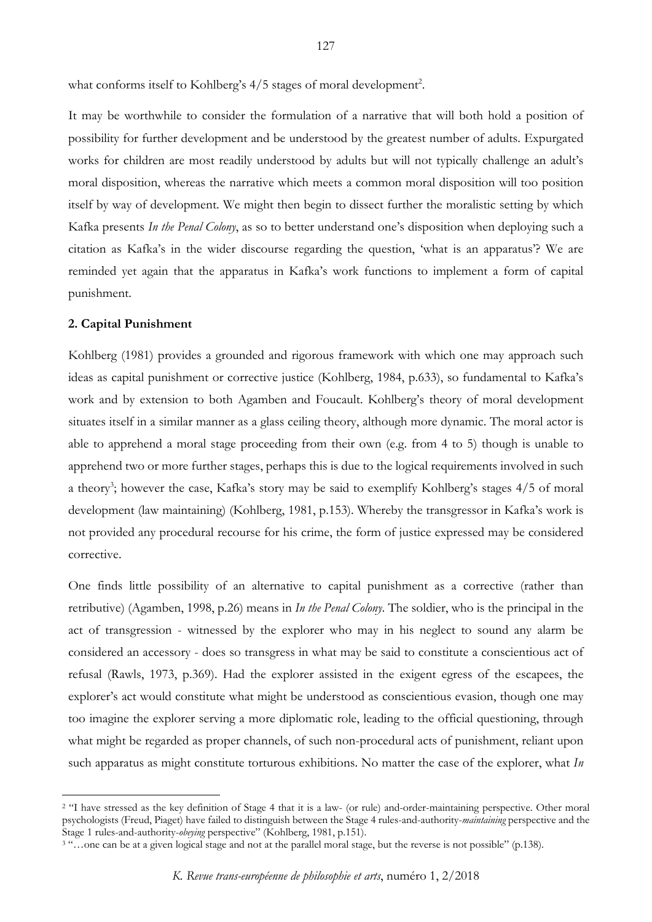what conforms itself to Kohlberg's 4/5 stages of moral development<sup>2</sup>.

It may be worthwhile to consider the formulation of a narrative that will both hold a position of possibility for further development and be understood by the greatest number of adults. Expurgated works for children are most readily understood by adults but will not typically challenge an adult's moral disposition, whereas the narrative which meets a common moral disposition will too position itself by way of development. We might then begin to dissect further the moralistic setting by which Kafka presents *In the Penal Colony*, as so to better understand one's disposition when deploying such a citation as Kafka's in the wider discourse regarding the question, 'what is an apparatus'? We are reminded yet again that the apparatus in Kafka's work functions to implement a form of capital punishment.

### **2. Capital Punishment**

 $\overline{a}$ 

Kohlberg (1981) provides a grounded and rigorous framework with which one may approach such ideas as capital punishment or corrective justice (Kohlberg, 1984, p.633), so fundamental to Kafka's work and by extension to both Agamben and Foucault. Kohlberg's theory of moral development situates itself in a similar manner as a glass ceiling theory, although more dynamic. The moral actor is able to apprehend a moral stage proceeding from their own (e.g. from 4 to 5) though is unable to apprehend two or more further stages, perhaps this is due to the logical requirements involved in such a theory<sup>3</sup>; however the case, Kafka's story may be said to exemplify Kohlberg's stages 4/5 of moral development (law maintaining) (Kohlberg, 1981, p.153). Whereby the transgressor in Kafka's work is not provided any procedural recourse for his crime, the form of justice expressed may be considered corrective.

One finds little possibility of an alternative to capital punishment as a corrective (rather than retributive) (Agamben, 1998, p.26) means in *In the Penal Colony*. The soldier, who is the principal in the act of transgression - witnessed by the explorer who may in his neglect to sound any alarm be considered an accessory - does so transgress in what may be said to constitute a conscientious act of refusal (Rawls, 1973, p.369). Had the explorer assisted in the exigent egress of the escapees, the explorer's act would constitute what might be understood as conscientious evasion, though one may too imagine the explorer serving a more diplomatic role, leading to the official questioning, through what might be regarded as proper channels, of such non-procedural acts of punishment, reliant upon such apparatus as might constitute torturous exhibitions. No matter the case of the explorer, what *In* 

<sup>&</sup>lt;sup>2</sup> "I have stressed as the key definition of Stage 4 that it is a law- (or rule) and-order-maintaining perspective. Other moral psychologists (Freud, Piaget) have failed to distinguish between the Stage 4 rules-and-authority-*maintaining* perspective and the Stage 1 rules-and-authority-*obeying* perspective" (Kohlberg, 1981, p.151).

<sup>&</sup>lt;sup>3</sup> "...one can be at a given logical stage and not at the parallel moral stage, but the reverse is not possible" (p.138).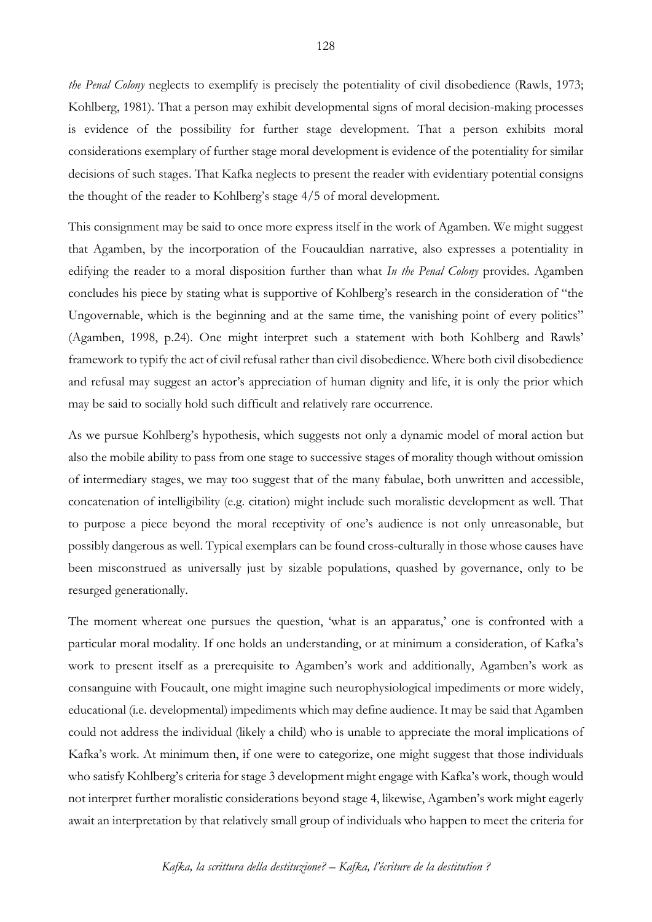*the Penal Colony* neglects to exemplify is precisely the potentiality of civil disobedience (Rawls, 1973; Kohlberg, 1981). That a person may exhibit developmental signs of moral decision-making processes is evidence of the possibility for further stage development. That a person exhibits moral considerations exemplary of further stage moral development is evidence of the potentiality for similar decisions of such stages. That Kafka neglects to present the reader with evidentiary potential consigns the thought of the reader to Kohlberg's stage 4/5 of moral development.

This consignment may be said to once more express itself in the work of Agamben. We might suggest that Agamben, by the incorporation of the Foucauldian narrative, also expresses a potentiality in edifying the reader to a moral disposition further than what *In the Penal Colony* provides. Agamben concludes his piece by stating what is supportive of Kohlberg's research in the consideration of "the Ungovernable, which is the beginning and at the same time, the vanishing point of every politics" (Agamben, 1998, p.24). One might interpret such a statement with both Kohlberg and Rawls' framework to typify the act of civil refusal rather than civil disobedience. Where both civil disobedience and refusal may suggest an actor's appreciation of human dignity and life, it is only the prior which may be said to socially hold such difficult and relatively rare occurrence.

As we pursue Kohlberg's hypothesis, which suggests not only a dynamic model of moral action but also the mobile ability to pass from one stage to successive stages of morality though without omission of intermediary stages, we may too suggest that of the many fabulae, both unwritten and accessible, concatenation of intelligibility (e.g. citation) might include such moralistic development as well. That to purpose a piece beyond the moral receptivity of one's audience is not only unreasonable, but possibly dangerous as well. Typical exemplars can be found cross-culturally in those whose causes have been misconstrued as universally just by sizable populations, quashed by governance, only to be resurged generationally.

The moment whereat one pursues the question, 'what is an apparatus,' one is confronted with a particular moral modality. If one holds an understanding, or at minimum a consideration, of Kafka's work to present itself as a prerequisite to Agamben's work and additionally, Agamben's work as consanguine with Foucault, one might imagine such neurophysiological impediments or more widely, educational (i.e. developmental) impediments which may define audience. It may be said that Agamben could not address the individual (likely a child) who is unable to appreciate the moral implications of Kafka's work. At minimum then, if one were to categorize, one might suggest that those individuals who satisfy Kohlberg's criteria for stage 3 development might engage with Kafka's work, though would not interpret further moralistic considerations beyond stage 4, likewise, Agamben's work might eagerly await an interpretation by that relatively small group of individuals who happen to meet the criteria for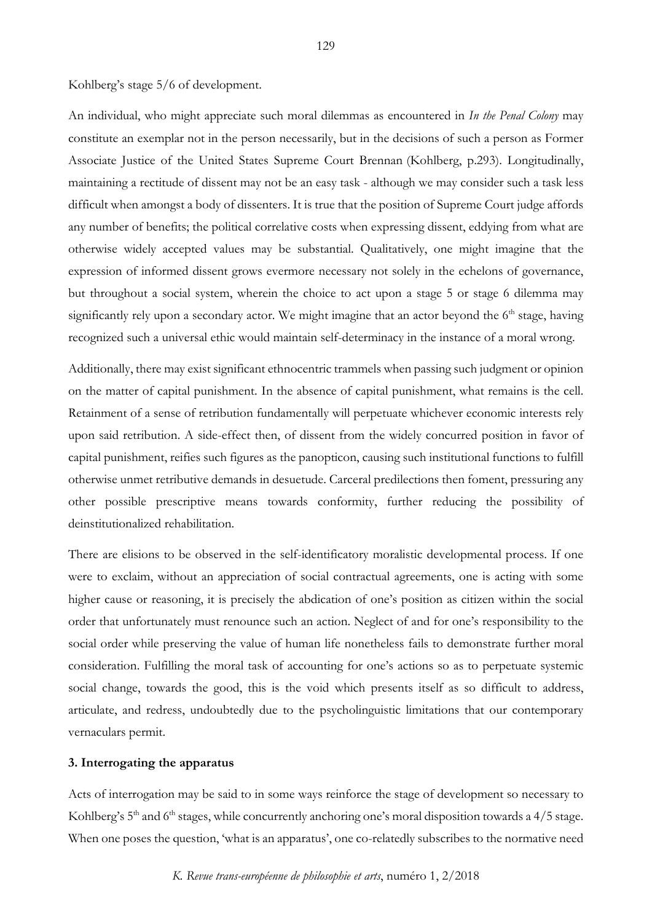Kohlberg's stage 5/6 of development.

An individual, who might appreciate such moral dilemmas as encountered in *In the Penal Colony* may constitute an exemplar not in the person necessarily, but in the decisions of such a person as Former Associate Justice of the United States Supreme Court Brennan (Kohlberg, p.293). Longitudinally, maintaining a rectitude of dissent may not be an easy task - although we may consider such a task less difficult when amongst a body of dissenters. It is true that the position of Supreme Court judge affords any number of benefits; the political correlative costs when expressing dissent, eddying from what are otherwise widely accepted values may be substantial. Qualitatively, one might imagine that the expression of informed dissent grows evermore necessary not solely in the echelons of governance, but throughout a social system, wherein the choice to act upon a stage 5 or stage 6 dilemma may significantly rely upon a secondary actor. We might imagine that an actor beyond the  $6<sup>th</sup>$  stage, having recognized such a universal ethic would maintain self-determinacy in the instance of a moral wrong.

Additionally, there may exist significant ethnocentric trammels when passing such judgment or opinion on the matter of capital punishment. In the absence of capital punishment, what remains is the cell. Retainment of a sense of retribution fundamentally will perpetuate whichever economic interests rely upon said retribution. A side-effect then, of dissent from the widely concurred position in favor of capital punishment, reifies such figures as the panopticon, causing such institutional functions to fulfill otherwise unmet retributive demands in desuetude. Carceral predilections then foment, pressuring any other possible prescriptive means towards conformity, further reducing the possibility of deinstitutionalized rehabilitation.

There are elisions to be observed in the self-identificatory moralistic developmental process. If one were to exclaim, without an appreciation of social contractual agreements, one is acting with some higher cause or reasoning, it is precisely the abdication of one's position as citizen within the social order that unfortunately must renounce such an action. Neglect of and for one's responsibility to the social order while preserving the value of human life nonetheless fails to demonstrate further moral consideration. Fulfilling the moral task of accounting for one's actions so as to perpetuate systemic social change, towards the good, this is the void which presents itself as so difficult to address, articulate, and redress, undoubtedly due to the psycholinguistic limitations that our contemporary vernaculars permit.

## **3. Interrogating the apparatus**

Acts of interrogation may be said to in some ways reinforce the stage of development so necessary to Kohlberg's 5<sup>th</sup> and 6<sup>th</sup> stages, while concurrently anchoring one's moral disposition towards a 4/5 stage. When one poses the question, 'what is an apparatus', one co-relatedly subscribes to the normative need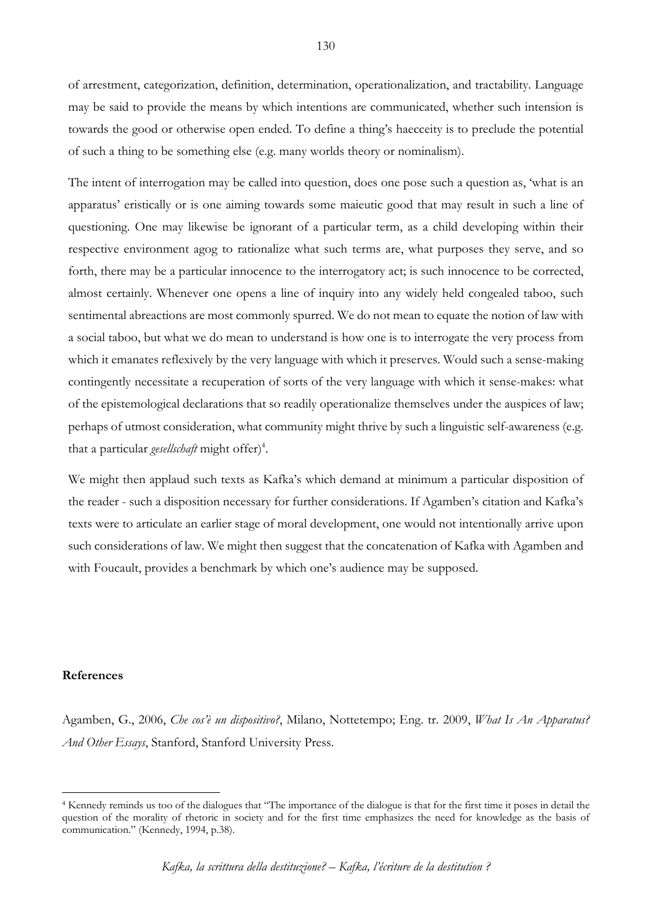of arrestment, categorization, definition, determination, operationalization, and tractability. Language may be said to provide the means by which intentions are communicated, whether such intension is towards the good or otherwise open ended. To define a thing's haecceity is to preclude the potential of such a thing to be something else (e.g. many worlds theory or nominalism).

The intent of interrogation may be called into question, does one pose such a question as, 'what is an apparatus' eristically or is one aiming towards some maieutic good that may result in such a line of questioning. One may likewise be ignorant of a particular term, as a child developing within their respective environment agog to rationalize what such terms are, what purposes they serve, and so forth, there may be a particular innocence to the interrogatory act; is such innocence to be corrected, almost certainly. Whenever one opens a line of inquiry into any widely held congealed taboo, such sentimental abreactions are most commonly spurred. We do not mean to equate the notion of law with a social taboo, but what we do mean to understand is how one is to interrogate the very process from which it emanates reflexively by the very language with which it preserves. Would such a sense-making contingently necessitate a recuperation of sorts of the very language with which it sense-makes: what of the epistemological declarations that so readily operationalize themselves under the auspices of law; perhaps of utmost consideration, what community might thrive by such a linguistic self-awareness (e.g. that a particular *gesellschaft* might offer)<sup>4</sup>.

We might then applaud such texts as Kafka's which demand at minimum a particular disposition of the reader - such a disposition necessary for further considerations. If Agamben's citation and Kafka's texts were to articulate an earlier stage of moral development, one would not intentionally arrive upon such considerations of law. We might then suggest that the concatenation of Kafka with Agamben and with Foucault, provides a benchmark by which one's audience may be supposed.

### **References**

 $\overline{a}$ 

Agamben, G., 2006, *Che cos'è un dispositivo?*, Milano, Nottetempo; Eng. tr. 2009, *What Is An Apparatus? And Other Essays*, Stanford, Stanford University Press.

<sup>4</sup> Kennedy reminds us too of the dialogues that "The importance of the dialogue is that for the first time it poses in detail the question of the morality of rhetoric in society and for the first time emphasizes the need for knowledge as the basis of communication." (Kennedy, 1994, p.38).